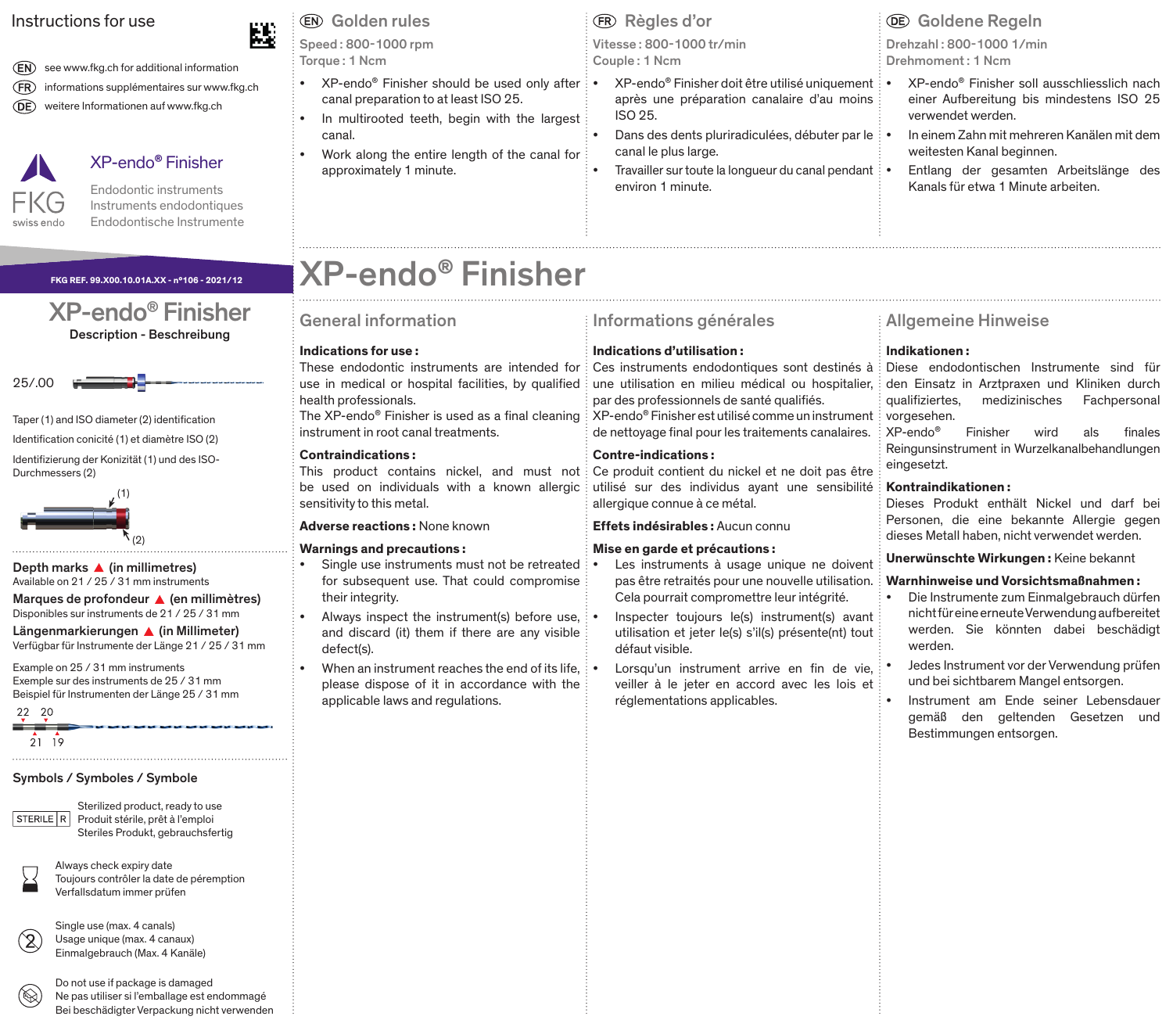# Instructions for use

(EN) see www.fkg.ch for additional information (FR) informations supplémentaires sur www.fkg.ch weitere Informationen auf www.fkg.ch



# XP-endo**®** Finisher

Endodontic instruments Instruments endodontiques Endodontische Instrumente

## **FKG REF. 99.X00.10.01A.XX - n°106 - 2021/12**

# XP-endo® Finisher Description - Beschreibung



Taper (1) and ISO diameter (2) identification

Identification conicité (1) et diamètre ISO (2)

Identifizierung der Konizität (1) und des ISO-Durchmessers (2)



Depth marks  $\triangle$  (in millimetres) Available on 21 / 25 / 31 mm instruments

Marques de profondeur  $\triangle$  (en millimètres) Disponibles sur instruments de 21 / 25 / 31 mm

Längenmarkierungen <a>
(in Millimeter)<br/>
In Millimeter) Verfügbar für Instrumente der Länge 21 / 25 / 31 mm

Example on 25 / 31 mm instruments Exemple sur des instruments de 25 / 31 mm Beispiel für Instrumenten der Länge 25 / 31 mm

22 20  $2119$ 

# Symbols / Symboles / Symbole



Sterilized product, ready to use Produit stérile, prêt à l'emploi Steriles Produkt, gebrauchsfertig



Always check expiry date Toujours contrôler la date de péremption Verfallsdatum immer prüfen

Single use (max. 4 canals) Usage unique (max. 4 canaux) Einmalgebrauch (Max. 4 Kanäle)



Do not use if package is damaged Ne pas utiliser si l'emballage est endommagé Bei beschädigter Verpackung nicht verwenden

Speed : 800-1000 rpm Torque : 1 Ncm

- XP-endo® Finisher should be used only after canal preparation to at least ISO 25.
- In multirooted teeth, begin with the largest canal.
- Work along the entire length of the canal for approximately 1 minute.

Vitesse : 800-1000 tr/min Couple : 1 Ncm

- XP-endo® Finisher doit être utilisé uniquement après une préparation canalaire d'au moins ISO 25.
- Dans des dents pluriradiculées, débuter par le : canal le plus large.
- Travailler sur toute la longueur du canal pendant environ 1 minute.

# Drehzahl : 800-1000 1/min Golden rules **CRIC** Règles d'or Goldene Regeln

Drehmoment: 1 Ncm

- XP-endo® Finisher soll ausschliesslich nach einer Aufbereitung bis mindestens ISO 25 verwendet werden.
- In einem Zahn mit mehreren Kanälen mit dem weitesten Kanal beginnen.
- Entlang der gesamten Arbeitslänge des Kanals für etwa 1 Minute arbeiten.

# XP-endo**®** Finisher

# General information

# **Indications for use :**

These endodontic instruments are intended for use in medical or hospital facilities, by qualified health professionals.

The XP-endo® Finisher is used as a final cleaning instrument in root canal treatments.

# **Contraindications :**

This product contains nickel, and must not be used on individuals with a known allergic sensitivity to this metal.

# **Adverse reactions :** None known

## **Warnings and precautions :**

- Single use instruments must not be retreated for subsequent use. That could compromise their integrity.
- Always inspect the instrument(s) before use, and discard (it) them if there are any visible defect(s).
- When an instrument reaches the end of its life  $\cdot$ please dispose of it in accordance with the applicable laws and regulations.

# Informations générales

# **Indications d'utilisation :**

Ces instruments endodontiques sont destinés à une utilisation en milieu médical ou hospitalier, par des professionnels de santé qualifiés. XP-endo® Finisher est utilisé comme un instrument de nettoyage final pour les traitements canalaires.

**Contre-indications :** 

Ce produit contient du nickel et ne doit pas être utilisé sur des individus ayant une sensibilité allergique connue à ce métal.

## **Effets indésirables :** Aucun connu

## **Mise en garde et précautions :**

- Les instruments à usage unique ne doivent pas être retraités pour une nouvelle utilisation. Cela pourrait compromettre leur intégrité.
- Inspecter toujours le(s) instrument(s) avant utilisation et jeter le(s) s'il(s) présente(nt) tout défaut visible.

Lorsqu'un instrument arrive en fin de vie. veiller à le jeter en accord avec les lois et réglementations applicables.

# Allgemeine Hinweise

# **Indikationen :**

Diese endodontischen Instrumente sind für den Einsatz in Arztpraxen und Kliniken durch qualifiziertes, medizinisches Fachpersonal vorgesehen.

XP-endo® Finisher wird als finales Reingunsinstrument in Wurzelkanalbehandlungen eingesetzt.

# **Kontraindikationen :**

Dieses Produkt enthält Nickel und darf bei Personen, die eine bekannte Allergie gegen dieses Metall haben, nicht verwendet werden.

**Unerwünschte Wirkungen :** Keine bekannt

# **Warnhinweise und Vorsichtsmaßnahmen :**

- Die Instrumente zum Einmalgebrauch dürfen nicht für eine erneute Verwendung aufbereitet werden. Sie könnten dabei beschädigt werden.
- Jedes Instrument vor der Verwendung prüfen und bei sichtbarem Mangel entsorgen.
- Instrument am Ende seiner Lebensdauer gemäß den geltenden Gesetzen und Bestimmungen entsorgen.